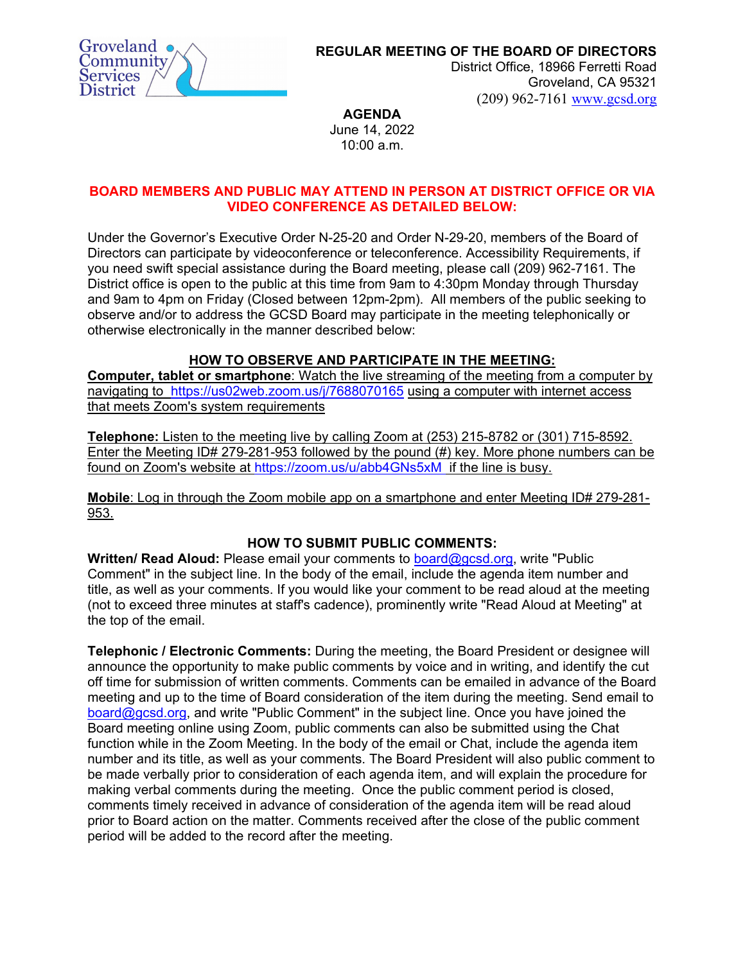

**REGULAR MEETING OF THE BOARD OF DIRECTORS**

District Office, 18966 Ferretti Road Groveland, CA 95321 (209) 962-7161 [www.gcsd.org](http://www.gcsd.org/) 

**AGENDA** 

June 14, 2022 10:00 a.m.

## **BOARD MEMBERS AND PUBLIC MAY ATTEND IN PERSON AT DISTRICT OFFICE OR VIA VIDEO CONFERENCE AS DETAILED BELOW:**

Under the Governor's Executive Order N-25-20 and Order N-29-20, members of the Board of Directors can participate by videoconference or teleconference. Accessibility Requirements, if you need swift special assistance during the Board meeting, please call (209) 962-7161. The District office is open to the public at this time from 9am to 4:30pm Monday through Thursday and 9am to 4pm on Friday (Closed between 12pm-2pm). All members of the public seeking to observe and/or to address the GCSD Board may participate in the meeting telephonically or otherwise electronically in the manner described below:

# **HOW TO OBSERVE AND PARTICIPATE IN THE MEETING:**

**Computer, tablet or smartphone**: Watch the live streaming of the meeting from a computer by navigating to <https://us02web.zoom.us/j/7688070165> using a computer with internet access that meets Zoom's system requirements

**Telephone:** Listen to the meeting live by calling Zoom at (253) 215-8782 or (301) 715-8592. Enter the Meeting ID# 279-281-953 followed by the pound (#) key. More phone numbers can be found on Zoom's website at <https://zoom.us/u/abb4GNs5xM> if the line is busy.

**Mobile**: Log in through the Zoom mobile app on a smartphone and enter Meeting ID# 279-281- 953.

## **HOW TO SUBMIT PUBLIC COMMENTS:**

**Written/ Read Aloud:** Please email your comments to [board@gcsd.org,](mailto:board@gcsd.org) write "Public Comment" in the subject line. In the body of the email, include the agenda item number and title, as well as your comments. If you would like your comment to be read aloud at the meeting (not to exceed three minutes at staff's cadence), prominently write "Read Aloud at Meeting" at the top of the email.

**Telephonic / Electronic Comments:** During the meeting, the Board President or designee will announce the opportunity to make public comments by voice and in writing, and identify the cut off time for submission of written comments. Comments can be emailed in advance of the Board meeting and up to the time of Board consideration of the item during the meeting. Send email to [board@gcsd.org,](mailto:board@gcsd.org) and write "Public Comment" in the subject line. Once you have joined the Board meeting online using Zoom, public comments can also be submitted using the Chat function while in the Zoom Meeting. In the body of the email or Chat, include the agenda item number and its title, as well as your comments. The Board President will also public comment to be made verbally prior to consideration of each agenda item, and will explain the procedure for making verbal comments during the meeting. Once the public comment period is closed, comments timely received in advance of consideration of the agenda item will be read aloud prior to Board action on the matter. Comments received after the close of the public comment period will be added to the record after the meeting.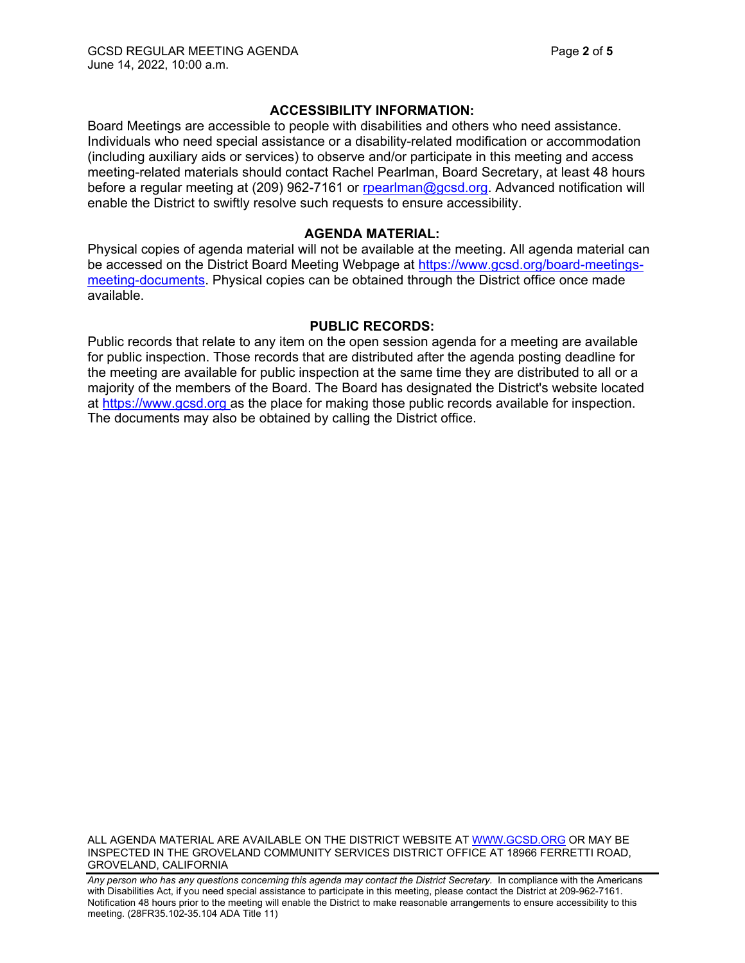### **ACCESSIBILITY INFORMATION:**

Board Meetings are accessible to people with disabilities and others who need assistance. Individuals who need special assistance or a disability-related modification or accommodation (including auxiliary aids or services) to observe and/or participate in this meeting and access meeting-related materials should contact Rachel Pearlman, Board Secretary, at least 48 hours before a regular meeting at (209) 962-7161 or [rpearlman@gcsd.org.](mailto:rpearlman@gcsd.org) Advanced notification will enable the District to swiftly resolve such requests to ensure accessibility.

#### **AGENDA MATERIAL:**

Physical copies of agenda material will not be available at the meeting. All agenda material can be accessed on the District Board Meeting Webpage at [https://www.gcsd.org/board-meetings](https://www.gcsd.org/board-meetings-meeting-documents)[meeting-documents.](https://www.gcsd.org/board-meetings-meeting-documents) Physical copies can be obtained through the District office once made available.

#### **PUBLIC RECORDS:**

Public records that relate to any item on the open session agenda for a meeting are available for public inspection. Those records that are distributed after the agenda posting deadline for the meeting are available for public inspection at the same time they are distributed to all or a majority of the members of the Board. The Board has designated the District's website located at [https://www.gcsd.org](https://www.gcsd.org/) as the place for making those public records available for inspection. The documents may also be obtained by calling the District office.

ALL AGENDA MATERIAL ARE AVAILABLE ON THE DISTRICT WEBSITE AT [WWW.GCSD.ORG](http://www.gcsd.org/) OR MAY BE INSPECTED IN THE GROVELAND COMMUNITY SERVICES DISTRICT OFFICE AT 18966 FERRETTI ROAD, GROVELAND, CALIFORNIA

Any person who has any questions concerning this agenda may contact the District Secretary. In compliance with the Americans with Disabilities Act, if you need special assistance to participate in this meeting, please contact the District at 209-962-7161. Notification 48 hours prior to the meeting will enable the District to make reasonable arrangements to ensure accessibility to this meeting. (28FR35.102-35.104 ADA Title 11)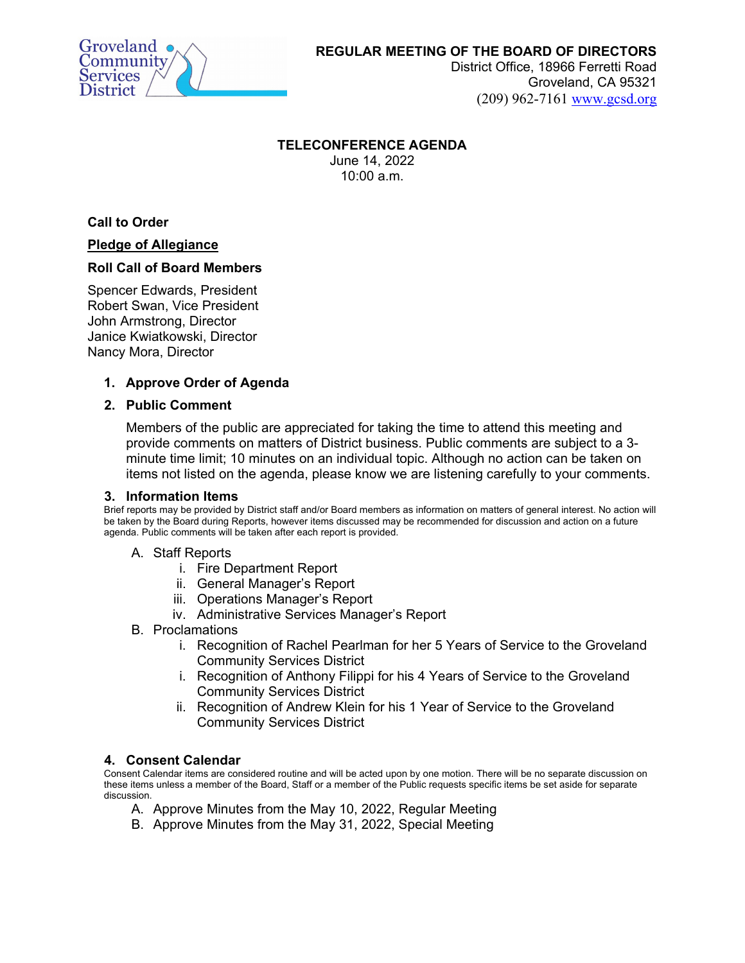

## **REGULAR MEETING OF THE BOARD OF DIRECTORS**

District Office, 18966 Ferretti Road Groveland, CA 95321 (209) 962-7161 [www.gcsd.org](http://www.gcsd.org/) 

#### **TELECONFERENCE AGENDA**

June 14, 2022 10:00 a.m.

**Call to Order**

### **Pledge of Allegiance**

### **Roll Call of Board Members**

Spencer Edwards, President Robert Swan, Vice President John Armstrong, Director Janice Kwiatkowski, Director Nancy Mora, Director

### **1. Approve Order of Agenda**

### **2. Public Comment**

Members of the public are appreciated for taking the time to attend this meeting and provide comments on matters of District business. Public comments are subject to a 3 minute time limit; 10 minutes on an individual topic. Although no action can be taken on items not listed on the agenda, please know we are listening carefully to your comments.

### **3. Information Items**

Brief reports may be provided by District staff and/or Board members as information on matters of general interest. No action will be taken by the Board during Reports, however items discussed may be recommended for discussion and action on a future agenda. Public comments will be taken after each report is provided.

### A. Staff Reports

- i. Fire Department Report
- ii. General Manager's Report
- iii. Operations Manager's Report
- iv. Administrative Services Manager's Report
- B. Proclamations
	- i. Recognition of Rachel Pearlman for her 5 Years of Service to the Groveland Community Services District
	- i. Recognition of Anthony Filippi for his 4 Years of Service to the Groveland Community Services District
	- ii. Recognition of Andrew Klein for his 1 Year of Service to the Groveland Community Services District

### **4. Consent Calendar**

Consent Calendar items are considered routine and will be acted upon by one motion. There will be no separate discussion on these items unless a member of the Board, Staff or a member of the Public requests specific items be set aside for separate discussion.

- A. Approve Minutes from the May 10, 2022, Regular Meeting
- B. Approve Minutes from the May 31, 2022, Special Meeting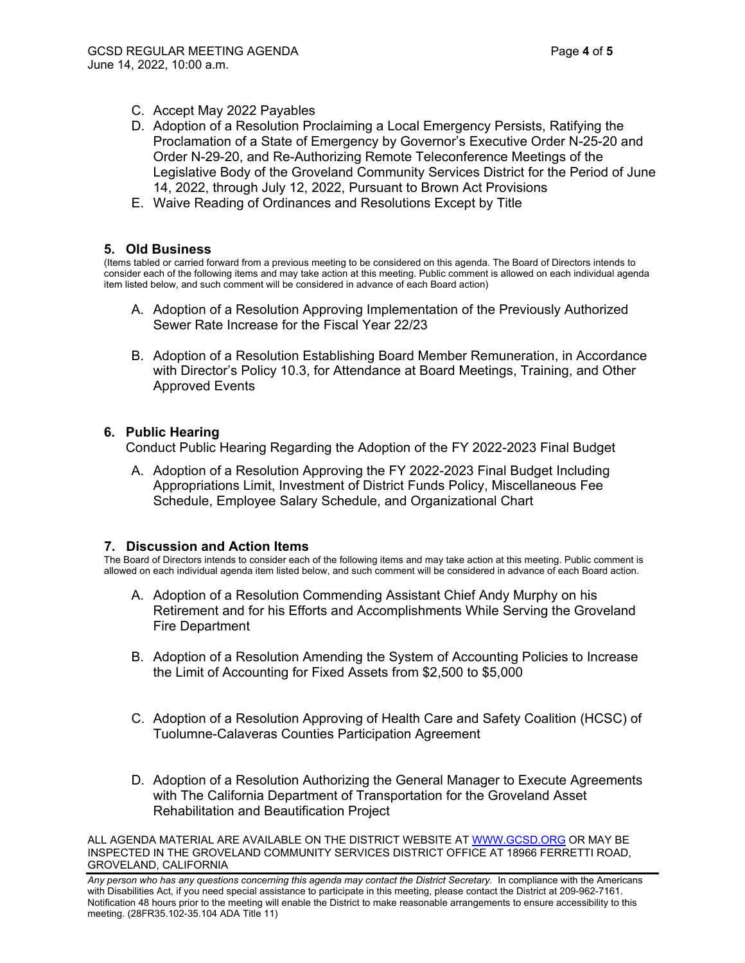- C. Accept May 2022 Payables
- D. Adoption of a Resolution Proclaiming a Local Emergency Persists, Ratifying the Proclamation of a State of Emergency by Governor's Executive Order N-25-20 and Order N-29-20, and Re-Authorizing Remote Teleconference Meetings of the Legislative Body of the Groveland Community Services District for the Period of June 14, 2022, through July 12, 2022, Pursuant to Brown Act Provisions
- E. Waive Reading of Ordinances and Resolutions Except by Title

### **5. Old Business**

(Items tabled or carried forward from a previous meeting to be considered on this agenda. The Board of Directors intends to consider each of the following items and may take action at this meeting. Public comment is allowed on each individual agenda item listed below, and such comment will be considered in advance of each Board action)

- A. Adoption of a Resolution Approving Implementation of the Previously Authorized Sewer Rate Increase for the Fiscal Year 22/23
- B. Adoption of a Resolution Establishing Board Member Remuneration, in Accordance with Director's Policy 10.3, for Attendance at Board Meetings, Training, and Other Approved Events

### **6. Public Hearing**

Conduct Public Hearing Regarding the Adoption of the FY 2022-2023 Final Budget

A. Adoption of a Resolution Approving the FY 2022-2023 Final Budget Including Appropriations Limit, Investment of District Funds Policy, Miscellaneous Fee Schedule, Employee Salary Schedule, and Organizational Chart

#### **7. Discussion and Action Items**

The Board of Directors intends to consider each of the following items and may take action at this meeting. Public comment is allowed on each individual agenda item listed below, and such comment will be considered in advance of each Board action.

- A. Adoption of a Resolution Commending Assistant Chief Andy Murphy on his Retirement and for his Efforts and Accomplishments While Serving the Groveland Fire Department
- B. Adoption of a Resolution Amending the System of Accounting Policies to Increase the Limit of Accounting for Fixed Assets from \$2,500 to \$5,000
- C. Adoption of a Resolution Approving of Health Care and Safety Coalition (HCSC) of Tuolumne-Calaveras Counties Participation Agreement
- D. Adoption of a Resolution Authorizing the General Manager to Execute Agreements with The California Department of Transportation for the Groveland Asset Rehabilitation and Beautification Project

ALL AGENDA MATERIAL ARE AVAILABLE ON THE DISTRICT WEBSITE AT [WWW.GCSD.ORG](http://www.gcsd.org/) OR MAY BE INSPECTED IN THE GROVELAND COMMUNITY SERVICES DISTRICT OFFICE AT 18966 FERRETTI ROAD, GROVELAND, CALIFORNIA

Any person who has any questions concerning this agenda may contact the District Secretary. In compliance with the Americans with Disabilities Act, if you need special assistance to participate in this meeting, please contact the District at 209-962-7161. Notification 48 hours prior to the meeting will enable the District to make reasonable arrangements to ensure accessibility to this meeting. (28FR35.102-35.104 ADA Title 11)